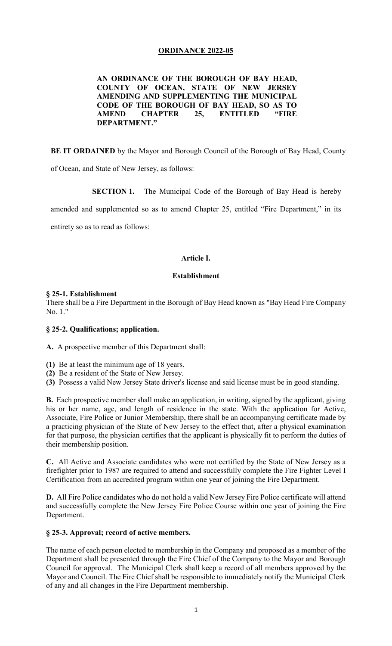## **ORDINANCE 2022-05**

**AN ORDINANCE OF THE BOROUGH OF BAY HEAD, COUNTY OF OCEAN, STATE OF NEW JERSEY AMENDING AND SUPPLEMENTING THE MUNICIPAL CODE OF THE BOROUGH OF BAY HEAD, SO AS TO AMEND CHAPTER 25, ENTITLED "FIRE DEPARTMENT."**

**BE IT ORDAINED** by the Mayor and Borough Council of the Borough of Bay Head, County

of Ocean, and State of New Jersey, as follows:

**SECTION 1.** The Municipal Code of the Borough of Bay Head is hereby

amended and supplemented so as to amend Chapter 25, entitled "Fire Department," in its

entirety so as to read as follows:

### **Article I.**

### **Establishment**

### **§ 25-1. Establishment**

There shall be a Fire Department in the Borough of Bay Head known as "Bay Head Fire Company No. 1."

#### **§ 25-2. Qualifications; application.**

**[A.](https://ecode360.com/8933565#8933565)** A prospective member of this Department shall:

- **[\(1\)](https://ecode360.com/8933566#8933566)** Be at least the minimum age of 18 years.
- **[\(2\)](https://ecode360.com/8933567#8933567)** Be a resident of the State of New Jersey.
- **[\(3\)](https://ecode360.com/29465247#29465247)** Possess a valid New Jersey State driver's license and said license must be in good standing.

**[B.](https://ecode360.com/8933568#8933568)** Each prospective member shall make an application, in writing, signed by the applicant, giving his or her name, age, and length of residence in the state. With the application for Active, Associate, Fire Police or Junior Membership, there shall be an accompanying certificate made by a practicing physician of the State of New Jersey to the effect that, after a physical examination for that purpose, the physician certifies that the applicant is physically fit to perform the duties of their membership position.

**[C.](https://ecode360.com/29465248#29465248)** All Active and Associate candidates who were not certified by the State of New Jersey as a firefighter prior to 1987 are required to attend and successfully complete the Fire Fighter Level I Certification from an accredited program within one year of joining the Fire Department.

**D.** All Fire Police candidates who do not hold a valid New Jersey Fire Police certificate will attend and successfully complete the New Jersey Fire Police Course within one year of joining the Fire Department.

#### **§ 25-3. Approval; record of active members.**

The name of each person elected to membership in the Company and proposed as a member of the Department shall be presented through the Fire Chief of the Company to the Mayor and Borough Council for approval.The Municipal Clerk shall keep a record of all members approved by the Mayor and Council. The Fire Chief shall be responsible to immediately notify the Municipal Clerk of any and all changes in the Fire Department membership.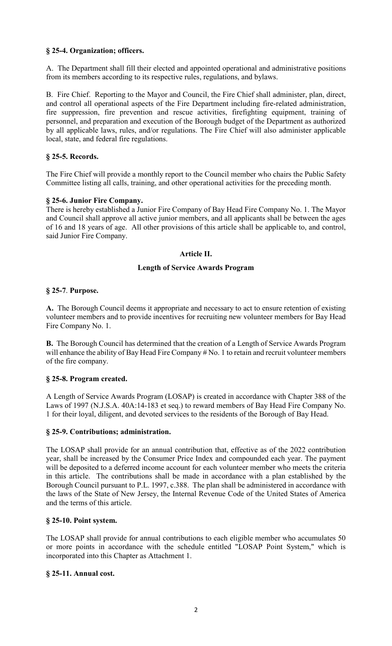# **§ 25-4. Organization; officers.**

[A.](https://ecode360.com/29465249#29465249) The Department shall fill their elected and appointed operational and administrative positions from its members according to its respective rules, regulations, and bylaws.

B. Fire Chief. Reporting to the Mayor and Council, the Fire Chief shall administer, plan, direct, and control all operational aspects of the Fire Department including fire-related administration, fire suppression, fire prevention and rescue activities, firefighting equipment, training of personnel, and preparation and execution of the Borough budget of the Department as authorized by all applicable laws, rules, and/or regulations. The Fire Chief will also administer applicable local, state, and federal fire regulations.

## **§ 25-5. Records.**

The Fire Chief will provide a monthly report to the Council member who chairs the Public Safety Committee listing all calls, training, and other operational activities for the preceding month.

## **§ 25-6. Junior Fire Company.**

There is hereby established a Junior Fire Company of Bay Head Fire Company No. 1. The Mayor and Council shall approve all active junior members, and all applicants shall be between the ages of 16 and 18 years of age. All other provisions of this article shall be applicable to, and control, said Junior Fire Company.

## **Article II.**

### **Length of Service Awards Program**

## **§ 25-7**. **Purpose.**

**[A.](https://ecode360.com/8933575#8933575)** The Borough Council deems it appropriate and necessary to act to ensure retention of existing volunteer members and to provide incentives for recruiting new volunteer members for Bay Head Fire Company No. 1.

**[B.](https://ecode360.com/8933576#8933576)** The Borough Council has determined that the creation of a Length of Service Awards Program will enhance the ability of Bay Head Fire Company # No. 1 to retain and recruit volunteer members of the fire company.

## **§ 25-8. Program created.**

A Length of Service Awards Program (LOSAP) is created in accordance with Chapter 388 of the Laws of 1997 (N.J.S.A. 40A:14-183 et seq.) to reward members of Bay Head Fire Company No. 1 for their loyal, diligent, and devoted services to the residents of the Borough of Bay Head.

## **§ [25-9. Contributions;](https://ecode360.com/8933561#8933578) administration.**

The LOSAP shall provide for an annual contribution that, effective as of the 2022 contribution year, shall be increased by the Consumer Price Index and compounded each year. The payment will be deposited to a deferred income account for each volunteer member who meets the criteria in this article. The contributions shall be made in accordance with a plan established by the Borough Council pursuant to P.L. 1997, c.388. The plan shall be administered in accordance with the laws of the State of New Jersey, the Internal Revenue Code of the United States of America and the terms of this article.

## **§ 25-10. Point system.**

The LOSAP shall provide for annual contributions to each eligible member who accumulates 50 or more points in accordance with the schedule entitled "LOSAP Point System," which is incorporated into this Chapter as Attachment 1.

## **§ 25-11. Annual cost.**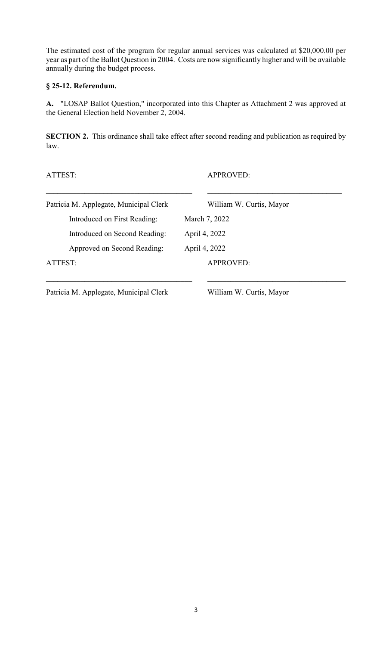The estimated cost of the program for regular annual services was calculated at \$20,000.00 per year as part of the Ballot Question in 2004. Costs are now significantly higher and will be available annually during the budget process.

# **§ 25-12. Referendum.**

**[A.](https://ecode360.com/8933583#8933583)** "LOSAP Ballot Question," incorporated into this Chapter as Attachment 2 was approved at the General Election held November 2, 2004.

**SECTION 2.** This ordinance shall take effect after second reading and publication as required by law.

ATTEST: APPROVED:

| Patricia M. Applegate, Municipal Clerk | William W. Curtis, Mayor |
|----------------------------------------|--------------------------|
| Introduced on First Reading:           | March 7, 2022            |
| Introduced on Second Reading:          | April 4, 2022            |
| Approved on Second Reading:            | April 4, 2022            |
| ATTEST:                                | <b>APPROVED:</b>         |

Patricia M. Applegate, Municipal Clerk William W. Curtis, Mayor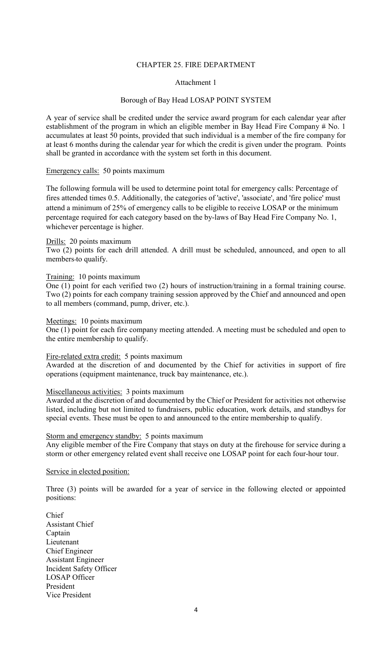#### CHAPTER 25. FIRE DEPARTMENT

#### Attachment 1

### Borough of Bay Head LOSAP POINT SYSTEM

A year of service shall be credited under the service award program for each calendar year after establishment of the program in which an eligible member in Bay Head Fire Company # No. 1 accumulates at least 50 points, provided that such individual is a member of the fire company for at least 6 months during the calendar year for which the credit is given under the program. Points shall be granted in accordance with the system set forth in this document.

### Emergency calls: 50 points maximum

The following formula will be used to determine point total for emergency calls: Percentage of fires attended times 0.5. Additionally, the categories of 'active', 'associate', and 'fire police' must attend a minimum of 25% of emergency calls to be eligible to receive LOSAP or the minimum percentage required for each category based on the by-laws of Bay Head Fire Company No. 1, whichever percentage is higher.

#### Drills: 20 points maximum

Two (2) points for each drill attended. A drill must be scheduled, announced, and open to all members to qualify.

#### Training: 10 points maximum

One (1) point for each verified two (2) hours of instruction/training in a formal training course. Two (2) points for each company training session approved by the Chief and announced and open to all members (command, pump, driver, etc.).

#### Meetings: 10 points maximum

One (1) point for each fire company meeting attended. A meeting must be scheduled and open to the entire membership to qualify.

#### Fire-related extra credit: 5 points maximum

Awarded at the discretion of and documented by the Chief for activities in support of fire operations (equipment maintenance, truck bay maintenance, etc.).

### Miscellaneous activities: 3 points maximum

Awarded at the discretion of and documented by the Chief or President for activities not otherwise listed, including but not limited to fundraisers, public education, work details, and standbys for special events. These must be open to and announced to the entire membership to qualify.

## Storm and emergency standby: 5 points maximum

Any eligible member of the Fire Company that stays on duty at the firehouse for service during a storm or other emergency related event shall receive one LOSAP point for each four-hour tour.

Service in elected position:

Three (3) points will be awarded for a year of service in the following elected or appointed positions:

Chief Assistant Chief Captain Lieutenant Chief Engineer Assistant Engineer Incident Safety Officer LOSAP Officer President Vice President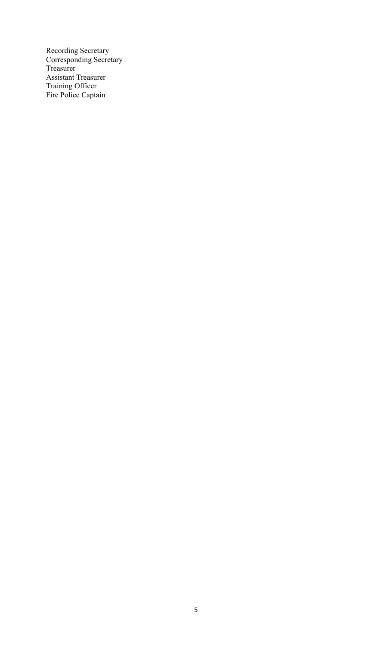Recording Secretary Corresponding Secretary Treasurer Assistant Treasurer Training Officer Fire Police Captain